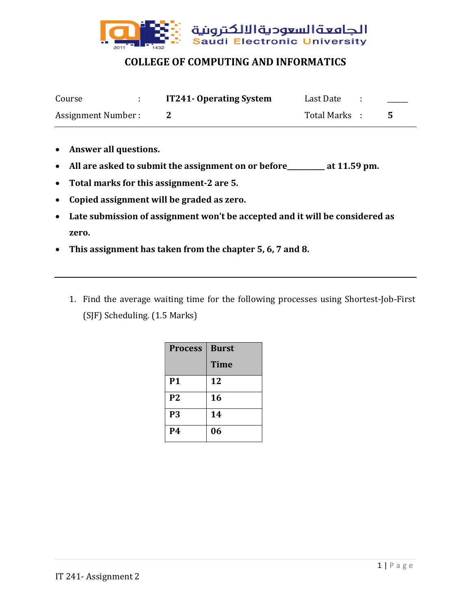

# **COLLEGE OF COMPUTING AND INFORMATICS**

| Course              | <b>IT241- Operating System</b> | Last Date     |  |
|---------------------|--------------------------------|---------------|--|
| Assignment Number : |                                | Total Marks : |  |

- **Answer all questions.**
- **All are asked to submit the assignment on or before\_\_\_\_\_\_\_\_\_\_\_ at 11.59 pm.**
- **Total marks for this assignment-2 are 5.**
- **Copied assignment will be graded as zero.**
- **Late submission of assignment won't be accepted and it will be considered as zero.**
- **This assignment has taken from the chapter 5, 6, 7 and 8.**
	- 1. Find the average waiting time for the following processes using Shortest-Job-First (SJF) Scheduling. (1.5 Marks)

| <b>Process</b> | <b>Burst</b> |  |
|----------------|--------------|--|
|                | <b>Time</b>  |  |
| <b>P1</b>      | 12           |  |
| <b>P2</b>      | 16           |  |
| <b>P3</b>      | 14           |  |
| <b>P4</b>      | 06           |  |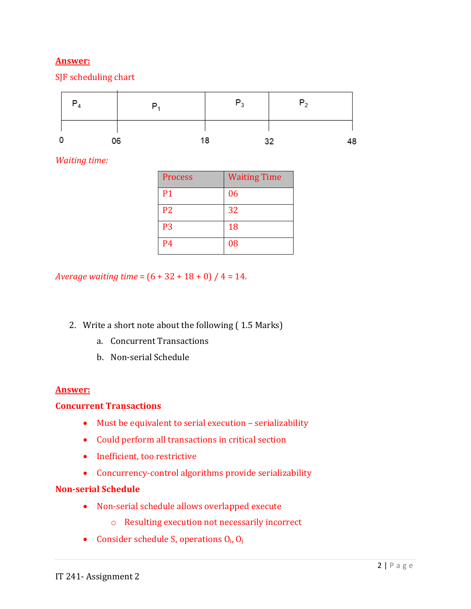## **Answer:**

## SJF scheduling chart

|   | $P_4$ | $P_3$ | P <sub>2</sub> |    |
|---|-------|-------|----------------|----|
| 0 | 06    | 18    | 32<br>ັ້       | 48 |

*Waiting time:*

| <b>Process</b> | <b>Waiting Time</b> |
|----------------|---------------------|
| P1             | 06                  |
| P <sub>2</sub> | 32                  |
| P <sub>3</sub> | 18                  |
| P <sub>4</sub> | 08                  |

*Average waiting time* = (6 + 32 + 18 + 0) / 4 = 14.

- 2. Write a short note about the following ( 1.5 Marks)
	- a. Concurrent Transactions
	- b. Non-serial Schedule

## **Answer:**

#### **Concurrent Transactions**

- Must be equivalent to serial execution serializability
- Could perform all transactions in critical section
- Inefficient, too restrictive
- Concurrency-control algorithms provide serializability

## **Non-serial Schedule**

- Non-serial schedule allows overlapped execute
	- o Resulting execution not necessarily incorrect
- Consider schedule S, operations  $O_i$ ,  $O_j$